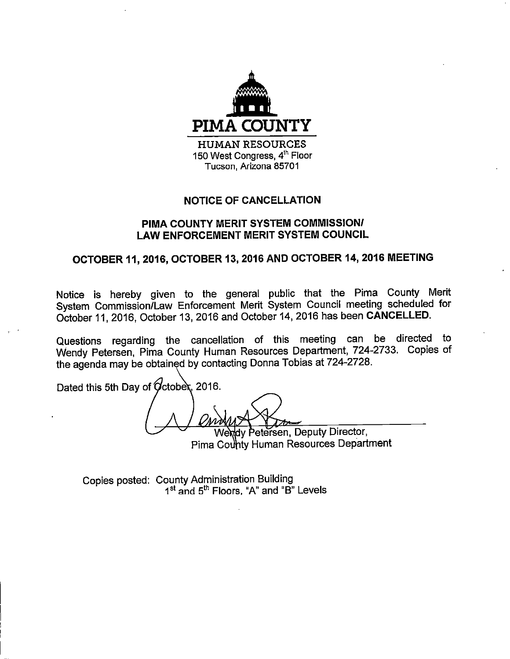

## **NOTICE OF CANCELLATION**

## PIMA COUNTY MERIT SYSTEM COMMISSION/ **LAW ENFORCEMENT MERIT SYSTEM COUNCIL**

# OCTOBER 11, 2016, OCTOBER 13, 2016 AND OCTOBER 14, 2016 MEETING

Notice is hereby given to the general public that the Pima County Merit System Commission/Law Enforcement Merit System Council meeting scheduled for October 11, 2016, October 13, 2016 and October 14, 2016 has been CANCELLED.

Questions regarding the cancellation of this meeting can be directed to Wendy Petersen, Pima County Human Resources Department, 724-2733. Copies of the agenda may be obtained by contacting Donna Tobias at 724-2728.

Dated this 5th Day of October, 2016.

dy Petersen, Deputy Director, Pima County Human Resources Department

Copies posted: County Administration Building 1<sup>st</sup> and 5<sup>th</sup> Floors, "A" and "B" Levels